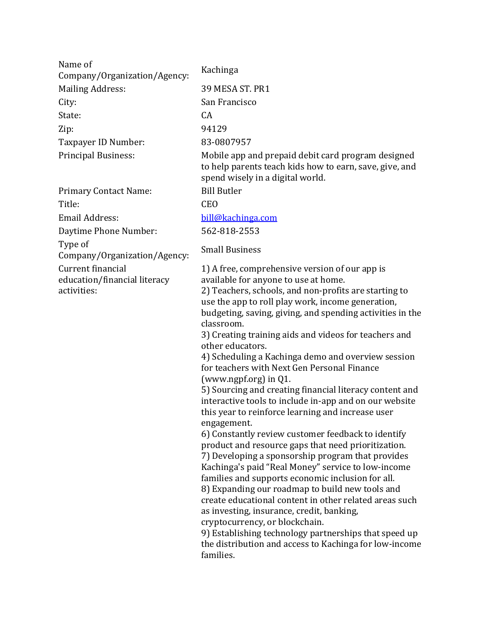Name of Company/Organization/Agency: Kachinga Mailing Address: 39 MESA ST. PR1 City: San Francisco State: CA Zip: 94129 Taxpayer ID Number: 83-0807957

Primary Contact Name: Bill Butler

Title: CEO

Email Address: bill@kachinga.com

Daytime Phone Number: 562-818-2553

Type of

Type of<br>Company/Organization/Agency: Small Business

Current financial education/financial literacy activities:

Principal Business: Mobile app and prepaid debit card program designed to help parents teach kids how to earn, save, give, and spend wisely in a digital world.

1) A free, comprehensive version of our app is available for anyone to use at home.

2) Teachers, schools, and non-profits are starting to use the app to roll play work, income generation, budgeting, saving, giving, and spending activities in the classroom.

3) Creating training aids and videos for teachers and other educators.

4) Scheduling a Kachinga demo and overview session for teachers with Next Gen Personal Finance (www.ngpf.org) in  $Q1$ .

5) Sourcing and creating financial literacy content and interactive tools to include in-app and on our website this year to reinforce learning and increase user engagement.

6) Constantly review customer feedback to identify product and resource gaps that need prioritization. 7) Developing a sponsorship program that provides Kachinga's paid "Real Money" service to low-income families and supports economic inclusion for all. 8) Expanding our roadmap to build new tools and create educational content in other related areas such as investing, insurance, credit, banking,

cryptocurrency, or blockchain.

9) Establishing technology partnerships that speed up the distribution and access to Kachinga for low-income families.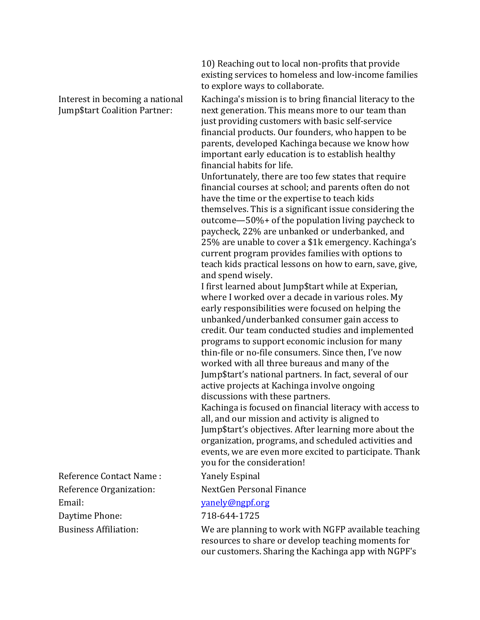Interest in becoming a national Jump\$tart Coalition Partner:

10) Reaching out to local non-profits that provide existing services to homeless and low-income families to explore ways to collaborate.

Kachinga's mission is to bring financial literacy to the next generation. This means more to our team than just providing customers with basic self-service financial products. Our founders, who happen to be parents, developed Kachinga because we know how important early education is to establish healthy financial habits for life.

Unfortunately, there are too few states that require financial courses at school; and parents often do not have the time or the expertise to teach kids themselves. This is a significant issue considering the outcome—50%+ of the population living paycheck to paycheck, 22% are unbanked or underbanked, and  $25%$  are unable to cover a  $$1k$  emergency. Kachinga's current program provides families with options to teach kids practical lessons on how to earn, save, give, and spend wisely.

I first learned about Jump\$tart while at Experian, where I worked over a decade in various roles. My early responsibilities were focused on helping the unbanked/underbanked consumer gain access to credit. Our team conducted studies and implemented programs to support economic inclusion for many thin-file or no-file consumers. Since then, I've now worked with all three bureaus and many of the Jump\$tart's national partners. In fact, several of our active projects at Kachinga involve ongoing discussions with these partners.

Kachinga is focused on financial literacy with access to all, and our mission and activity is aligned to Jump\$tart's objectives. After learning more about the organization, programs, and scheduled activities and events, we are even more excited to participate. Thank you for the consideration!

Reference Organization: NextGen Personal Finance

## Email: yanely@ngpf.org

Business Affiliation: We are planning to work with NGFP available teaching resources to share or develop teaching moments for our customers. Sharing the Kachinga app with NGPF's

Reference Contact Name : Yanely Espinal

Daytime Phone: 718-644-1725